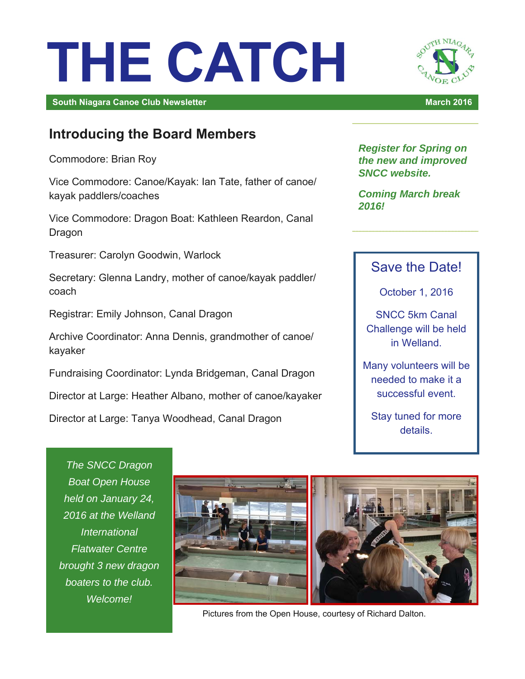# **THE CATCH**

**South Niagara Canoe Club Newsletter March 2016 March 2016 March 2016** 

# H NIAG

# **Introducing the Board Members**

Commodore: Brian Roy

Vice Commodore: Canoe/Kayak: Ian Tate, father of canoe/ kayak paddlers/coaches

Vice Commodore: Dragon Boat: Kathleen Reardon, Canal Dragon

Treasurer: Carolyn Goodwin, Warlock

Secretary: Glenna Landry, mother of canoe/kayak paddler/ coach

Registrar: Emily Johnson, Canal Dragon

Archive Coordinator: Anna Dennis, grandmother of canoe/ kayaker

Fundraising Coordinator: Lynda Bridgeman, Canal Dragon

Director at Large: Heather Albano, mother of canoe/kayaker

Director at Large: Tanya Woodhead, Canal Dragon

*Register for Spring on the new and improved SNCC website.* 

*Coming March break 2016!*

## Save the Date!

October 1, 2016

SNCC 5km Canal Challenge will be held in Welland.

Many volunteers will be needed to make it a successful event.

Stay tuned for more details.

*The SNCC Dragon Boat Open House held on January 24, 2016 at the Welland International Flatwater Centre brought 3 new dragon boaters to the club. Welcome!*



Pictures from the Open House, courtesy of Richard Dalton.